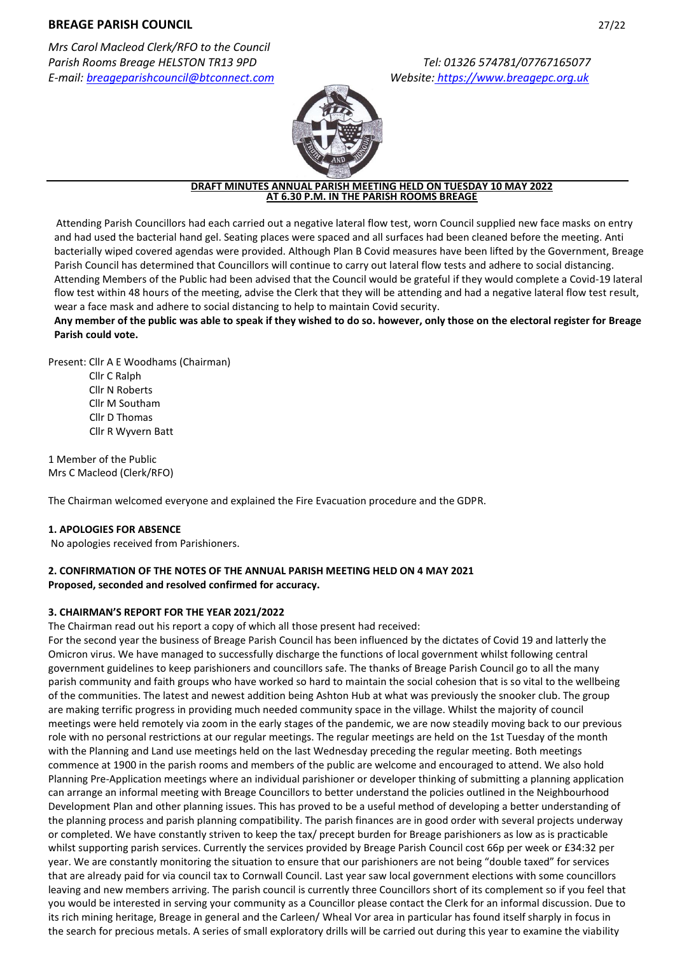# **BREAGE PARISH COUNCIL** 27/22

*Mrs Carol Macleod Clerk/RFO to the Council Parish Rooms Breage HELSTON TR13 9PD Tel: 01326 574781/07767165077 E-mail: [breageparishcouncil@btconnect.com](mailto:breageparishcouncil@btconnect.com) Website: https:/[/www.breagepc.org.uk](http://www.breagepc.org.uk/)*



#### **DRAFT MINUTES ANNUAL PARISH MEETING HELD ON TUESDAY 10 MAY 2022 AT 6.30 P.M. IN THE PARISH ROOMS BREAGE**

Attending Parish Councillors had each carried out a negative lateral flow test, worn Council supplied new face masks on entry and had used the bacterial hand gel. Seating places were spaced and all surfaces had been cleaned before the meeting. Anti bacterially wiped covered agendas were provided. Although Plan B Covid measures have been lifted by the Government, Breage Parish Council has determined that Councillors will continue to carry out lateral flow tests and adhere to social distancing. Attending Members of the Public had been advised that the Council would be grateful if they would complete a Covid-19 lateral flow test within 48 hours of the meeting, advise the Clerk that they will be attending and had a negative lateral flow test result, wear a face mask and adhere to social distancing to help to maintain Covid security.

**Any member of the public was able to speak if they wished to do so. however, only those on the electoral register for Breage Parish could vote.**

Present: Cllr A E Woodhams (Chairman)

Cllr C Ralph Cllr N Roberts Cllr M Southam Cllr D Thomas Cllr R Wyvern Batt

1 Member of the Public Mrs C Macleod (Clerk/RFO)

The Chairman welcomed everyone and explained the Fire Evacuation procedure and the GDPR.

## **1. APOLOGIES FOR ABSENCE**

No apologies received from Parishioners.

## **2. CONFIRMATION OF THE NOTES OF THE ANNUAL PARISH MEETING HELD ON 4 MAY 2021 Proposed, seconded and resolved confirmed for accuracy.**

## **3. CHAIRMAN'S REPORT FOR THE YEAR 2021/2022**

The Chairman read out his report a copy of which all those present had received:

For the second year the business of Breage Parish Council has been influenced by the dictates of Covid 19 and latterly the Omicron virus. We have managed to successfully discharge the functions of local government whilst following central government guidelines to keep parishioners and councillors safe. The thanks of Breage Parish Council go to all the many parish community and faith groups who have worked so hard to maintain the social cohesion that is so vital to the wellbeing of the communities. The latest and newest addition being Ashton Hub at what was previously the snooker club. The group are making terrific progress in providing much needed community space in the village. Whilst the majority of council meetings were held remotely via zoom in the early stages of the pandemic, we are now steadily moving back to our previous role with no personal restrictions at our regular meetings. The regular meetings are held on the 1st Tuesday of the month with the Planning and Land use meetings held on the last Wednesday preceding the regular meeting. Both meetings commence at 1900 in the parish rooms and members of the public are welcome and encouraged to attend. We also hold Planning Pre-Application meetings where an individual parishioner or developer thinking of submitting a planning application can arrange an informal meeting with Breage Councillors to better understand the policies outlined in the Neighbourhood Development Plan and other planning issues. This has proved to be a useful method of developing a better understanding of the planning process and parish planning compatibility. The parish finances are in good order with several projects underway or completed. We have constantly striven to keep the tax/ precept burden for Breage parishioners as low as is practicable whilst supporting parish services. Currently the services provided by Breage Parish Council cost 66p per week or £34:32 per year. We are constantly monitoring the situation to ensure that our parishioners are not being "double taxed" for services that are already paid for via council tax to Cornwall Council. Last year saw local government elections with some councillors leaving and new members arriving. The parish council is currently three Councillors short of its complement so if you feel that you would be interested in serving your community as a Councillor please contact the Clerk for an informal discussion. Due to its rich mining heritage, Breage in general and the Carleen/ Wheal Vor area in particular has found itself sharply in focus in the search for precious metals. A series of small exploratory drills will be carried out during this year to examine the viability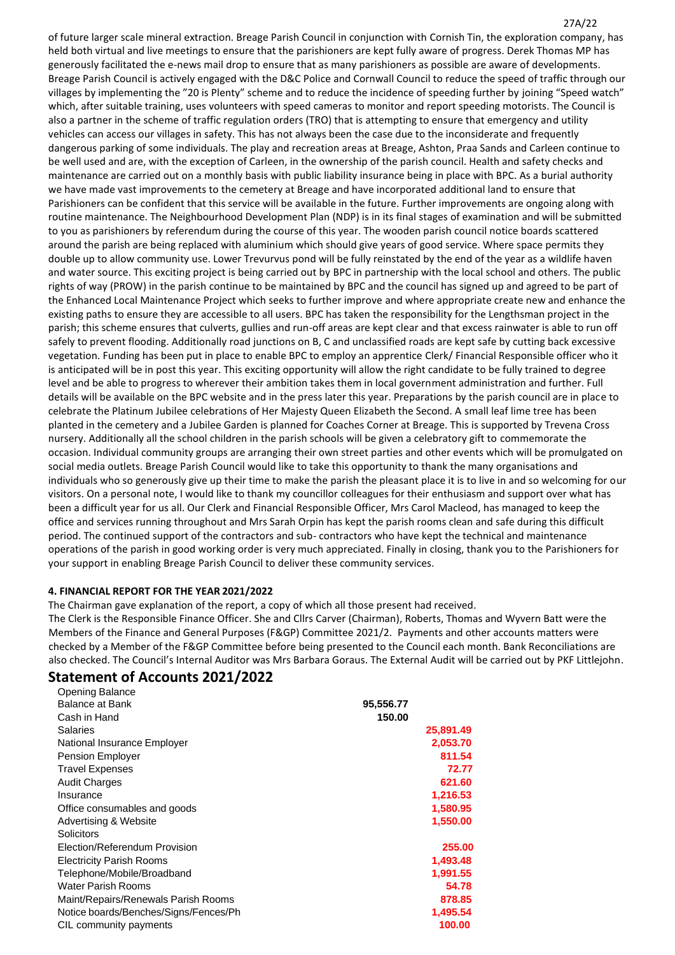27A/22 of future larger scale mineral extraction. Breage Parish Council in conjunction with Cornish Tin, the exploration company, has held both virtual and live meetings to ensure that the parishioners are kept fully aware of progress. Derek Thomas MP has generously facilitated the e-news mail drop to ensure that as many parishioners as possible are aware of developments. Breage Parish Council is actively engaged with the D&C Police and Cornwall Council to reduce the speed of traffic through our villages by implementing the "20 is Plenty" scheme and to reduce the incidence of speeding further by joining "Speed watch" which, after suitable training, uses volunteers with speed cameras to monitor and report speeding motorists. The Council is also a partner in the scheme of traffic regulation orders (TRO) that is attempting to ensure that emergency and utility vehicles can access our villages in safety. This has not always been the case due to the inconsiderate and frequently dangerous parking of some individuals. The play and recreation areas at Breage, Ashton, Praa Sands and Carleen continue to be well used and are, with the exception of Carleen, in the ownership of the parish council. Health and safety checks and maintenance are carried out on a monthly basis with public liability insurance being in place with BPC. As a burial authority we have made vast improvements to the cemetery at Breage and have incorporated additional land to ensure that Parishioners can be confident that this service will be available in the future. Further improvements are ongoing along with routine maintenance. The Neighbourhood Development Plan (NDP) is in its final stages of examination and will be submitted to you as parishioners by referendum during the course of this year. The wooden parish council notice boards scattered around the parish are being replaced with aluminium which should give years of good service. Where space permits they double up to allow community use. Lower Trevurvus pond will be fully reinstated by the end of the year as a wildlife haven and water source. This exciting project is being carried out by BPC in partnership with the local school and others. The public rights of way (PROW) in the parish continue to be maintained by BPC and the council has signed up and agreed to be part of the Enhanced Local Maintenance Project which seeks to further improve and where appropriate create new and enhance the existing paths to ensure they are accessible to all users. BPC has taken the responsibility for the Lengthsman project in the parish; this scheme ensures that culverts, gullies and run-off areas are kept clear and that excess rainwater is able to run off safely to prevent flooding. Additionally road junctions on B, C and unclassified roads are kept safe by cutting back excessive vegetation. Funding has been put in place to enable BPC to employ an apprentice Clerk/ Financial Responsible officer who it is anticipated will be in post this year. This exciting opportunity will allow the right candidate to be fully trained to degree level and be able to progress to wherever their ambition takes them in local government administration and further. Full details will be available on the BPC website and in the press later this year. Preparations by the parish council are in place to celebrate the Platinum Jubilee celebrations of Her Majesty Queen Elizabeth the Second. A small leaf lime tree has been planted in the cemetery and a Jubilee Garden is planned for Coaches Corner at Breage. This is supported by Trevena Cross nursery. Additionally all the school children in the parish schools will be given a celebratory gift to commemorate the occasion. Individual community groups are arranging their own street parties and other events which will be promulgated on social media outlets. Breage Parish Council would like to take this opportunity to thank the many organisations and individuals who so generously give up their time to make the parish the pleasant place it is to live in and so welcoming for our visitors. On a personal note, I would like to thank my councillor colleagues for their enthusiasm and support over what has been a difficult year for us all. Our Clerk and Financial Responsible Officer, Mrs Carol Macleod, has managed to keep the office and services running throughout and Mrs Sarah Orpin has kept the parish rooms clean and safe during this difficult period. The continued support of the contractors and sub- contractors who have kept the technical and maintenance operations of the parish in good working order is very much appreciated. Finally in closing, thank you to the Parishioners for your support in enabling Breage Parish Council to deliver these community services.

## **4. FINANCIAL REPORT FOR THE YEAR 2021/2022**

The Chairman gave explanation of the report, a copy of which all those present had received.

 The Clerk is the Responsible Finance Officer. She and Cllrs Carver (Chairman), Roberts, Thomas and Wyvern Batt were the Members of the Finance and General Purposes (F&GP) Committee 2021/2. Payments and other accounts matters were checked by a Member of the F&GP Committee before being presented to the Council each month. Bank Reconciliations are also checked. The Council's Internal Auditor was Mrs Barbara Goraus. The External Audit will be carried out by PKF Littlejohn.

#### **Statement of Accounts 2021/2022** Opening Balance

| Opening Balance                       |           |
|---------------------------------------|-----------|
| Balance at Bank                       | 95,556.77 |
| Cash in Hand                          | 150.00    |
| <b>Salaries</b>                       | 25,891.49 |
| National Insurance Employer           | 2,053.70  |
| Pension Employer                      | 811.54    |
| <b>Travel Expenses</b>                | 72.77     |
| <b>Audit Charges</b>                  | 621.60    |
| Insurance                             | 1,216.53  |
| Office consumables and goods          | 1,580.95  |
| Advertising & Website                 | 1,550.00  |
| Solicitors                            |           |
| Election/Referendum Provision         | 255.00    |
| <b>Electricity Parish Rooms</b>       | 1,493.48  |
| Telephone/Mobile/Broadband            | 1,991.55  |
| Water Parish Rooms                    | 54.78     |
| Maint/Repairs/Renewals Parish Rooms   | 878.85    |
| Notice boards/Benches/Signs/Fences/Ph | 1,495.54  |
| CIL community payments                | 100.00    |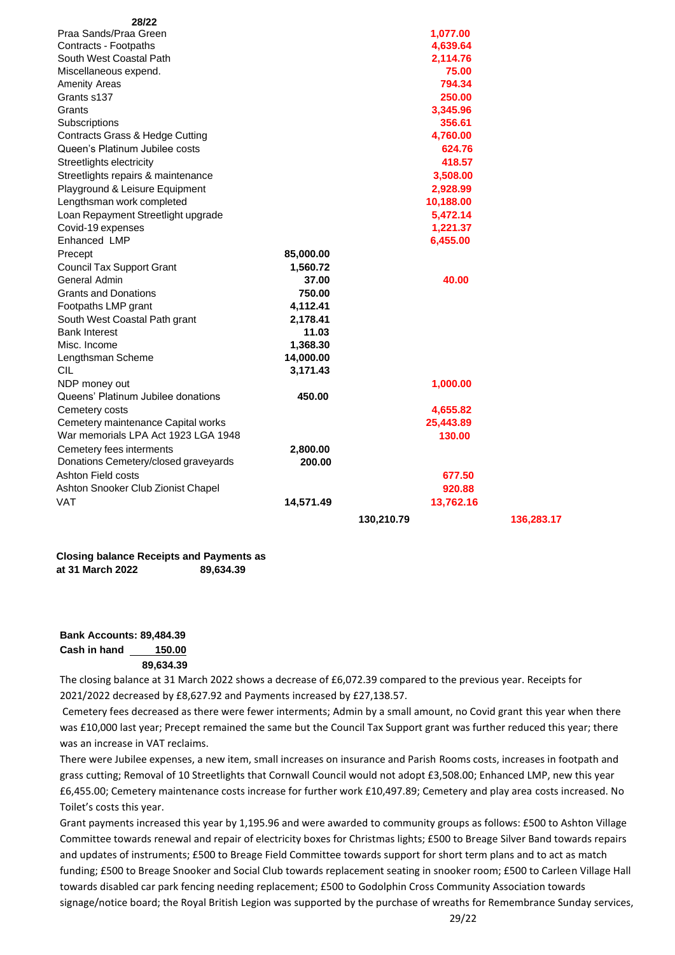| 28/22                                |           |            |            |
|--------------------------------------|-----------|------------|------------|
| Praa Sands/Praa Green                |           | 1,077.00   |            |
| Contracts - Footpaths                |           | 4,639.64   |            |
| South West Coastal Path              |           | 2,114.76   |            |
| Miscellaneous expend.                |           | 75.00      |            |
| <b>Amenity Areas</b>                 |           | 794.34     |            |
| Grants s137                          |           | 250.00     |            |
| Grants                               |           | 3,345.96   |            |
| Subscriptions                        |           | 356.61     |            |
| Contracts Grass & Hedge Cutting      |           | 4,760.00   |            |
| Queen's Platinum Jubilee costs       |           | 624.76     |            |
| Streetlights electricity             |           | 418.57     |            |
| Streetlights repairs & maintenance   |           | 3,508.00   |            |
| Playground & Leisure Equipment       |           | 2,928.99   |            |
| Lengthsman work completed            |           | 10,188.00  |            |
| Loan Repayment Streetlight upgrade   |           | 5,472.14   |            |
| Covid-19 expenses                    |           | 1,221.37   |            |
| Enhanced LMP                         |           | 6,455.00   |            |
| Precept                              | 85,000.00 |            |            |
| <b>Council Tax Support Grant</b>     | 1,560.72  |            |            |
| General Admin                        | 37.00     | 40.00      |            |
| <b>Grants and Donations</b>          | 750.00    |            |            |
| Footpaths LMP grant                  | 4,112.41  |            |            |
| South West Coastal Path grant        | 2,178.41  |            |            |
| <b>Bank Interest</b>                 | 11.03     |            |            |
| Misc. Income                         | 1,368.30  |            |            |
| Lengthsman Scheme                    | 14,000.00 |            |            |
| <b>CIL</b>                           | 3,171.43  |            |            |
| NDP money out                        |           | 1,000.00   |            |
| Queens' Platinum Jubilee donations   | 450.00    |            |            |
| Cemetery costs                       |           | 4,655.82   |            |
| Cemetery maintenance Capital works   |           | 25,443.89  |            |
| War memorials LPA Act 1923 LGA 1948  |           | 130.00     |            |
| Cemetery fees interments             | 2,800.00  |            |            |
| Donations Cemetery/closed graveyards | 200.00    |            |            |
| Ashton Field costs                   |           | 677.50     |            |
| Ashton Snooker Club Zionist Chapel   |           | 920.88     |            |
| VAT                                  | 14,571.49 | 13,762.16  |            |
|                                      |           | 130,210.79 | 136,283.17 |

**Closing balance Receipts and Payments as at 31 March 2022 89,634.39**

## **Bank Accounts: 89,484.39 Cash in hand 150.00 89,634.39**

The closing balance at 31 March 2022 shows a decrease of £6,072.39 compared to the previous year. Receipts for 2021/2022 decreased by £8,627.92 and Payments increased by £27,138.57.

Cemetery fees decreased as there were fewer interments; Admin by a small amount, no Covid grant this year when there was £10,000 last year; Precept remained the same but the Council Tax Support grant was further reduced this year; there was an increase in VAT reclaims.

There were Jubilee expenses, a new item, small increases on insurance and Parish Rooms costs, increases in footpath and grass cutting; Removal of 10 Streetlights that Cornwall Council would not adopt £3,508.00; Enhanced LMP, new this year £6,455.00; Cemetery maintenance costs increase for further work £10,497.89; Cemetery and play area costs increased. No Toilet's costs this year.

Grant payments increased this year by 1,195.96 and were awarded to community groups as follows: £500 to Ashton Village Committee towards renewal and repair of electricity boxes for Christmas lights; £500 to Breage Silver Band towards repairs and updates of instruments; £500 to Breage Field Committee towards support for short term plans and to act as match funding; £500 to Breage Snooker and Social Club towards replacement seating in snooker room; £500 to Carleen Village Hall towards disabled car park fencing needing replacement; £500 to Godolphin Cross Community Association towards signage/notice board; the Royal British Legion was supported by the purchase of wreaths for Remembrance Sunday services,